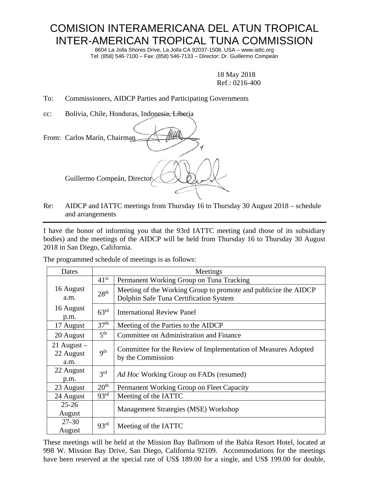## COMISION INTERAMERICANA DEL ATUN TROPICAL INTER-AMERICAN TROPICAL TUNA COMMISSION

8604 La Jolla Shores Drive, La Jolla CA 92037-1508, USA – www.iattc.org Tel: (858) 546-7100 – Fax: (858) 546-7133 – Director: Dr. Guillermo Compeán

> 18 May 2018 Ref.: 0216-400

To: Commissioners, AIDCP Parties and Participating Governments

cc: Bolivia, Chile, Honduras, Indonesia, Liberia

| From: Carlos Marín, Chairman |
|------------------------------|
| Guillermo Compeán, Director  |

Re: AIDCP and IATTC meetings from Thursday 16 to Thursday 30 August 2018 – schedule and arrangements

I have the honor of informing you that the 93rd IATTC meeting (and those of its subsidiary bodies) and the meetings of the AIDCP will be held from Thursday 16 to Thursday 30 August 2018 in San Diego, California.

The programmed schedule of meetings is as follows:

| Dates                              |                  | Meetings                                                                                                  |
|------------------------------------|------------------|-----------------------------------------------------------------------------------------------------------|
|                                    | $41^{st}$        | Permanent Working Group on Tuna Tracking                                                                  |
| 16 August<br>a.m.                  | 28 <sup>th</sup> | Meeting of the Working Group to promote and publicize the AIDCP<br>Dolphin Safe Tuna Certification System |
| 16 August<br>p.m.                  | $63^{\text{rd}}$ | <b>International Review Panel</b>                                                                         |
| 17 August                          | 37 <sup>th</sup> | Meeting of the Parties to the AIDCP                                                                       |
| 20 August                          | 5 <sup>th</sup>  | Committee on Administration and Finance                                                                   |
| $21$ August –<br>22 August<br>a.m. | 9 <sup>th</sup>  | Committee for the Review of Implementation of Measures Adopted<br>by the Commission                       |
| 22 August<br>p.m.                  | 3 <sup>rd</sup>  | Ad Hoc Working Group on FADs (resumed)                                                                    |
| 23 August                          | 20 <sup>th</sup> | Permanent Working Group on Fleet Capacity                                                                 |
| 24 August                          | 93 <sup>rd</sup> | Meeting of the IATTC                                                                                      |
| $25 - 26$<br>August                |                  | Management Strategies (MSE) Workshop                                                                      |
| $27 - 30$<br>August                | 93 <sup>rd</sup> | Meeting of the IATTC                                                                                      |

These meetings will be held at the Mission Bay Ballroom of the Bahia Resort Hotel, located at 998 W. Mission Bay Drive, San Diego, California 92109. Accommodations for the meetings have been reserved at the special rate of US\$ 189.00 for a single, and US\$ 199.00 for double,